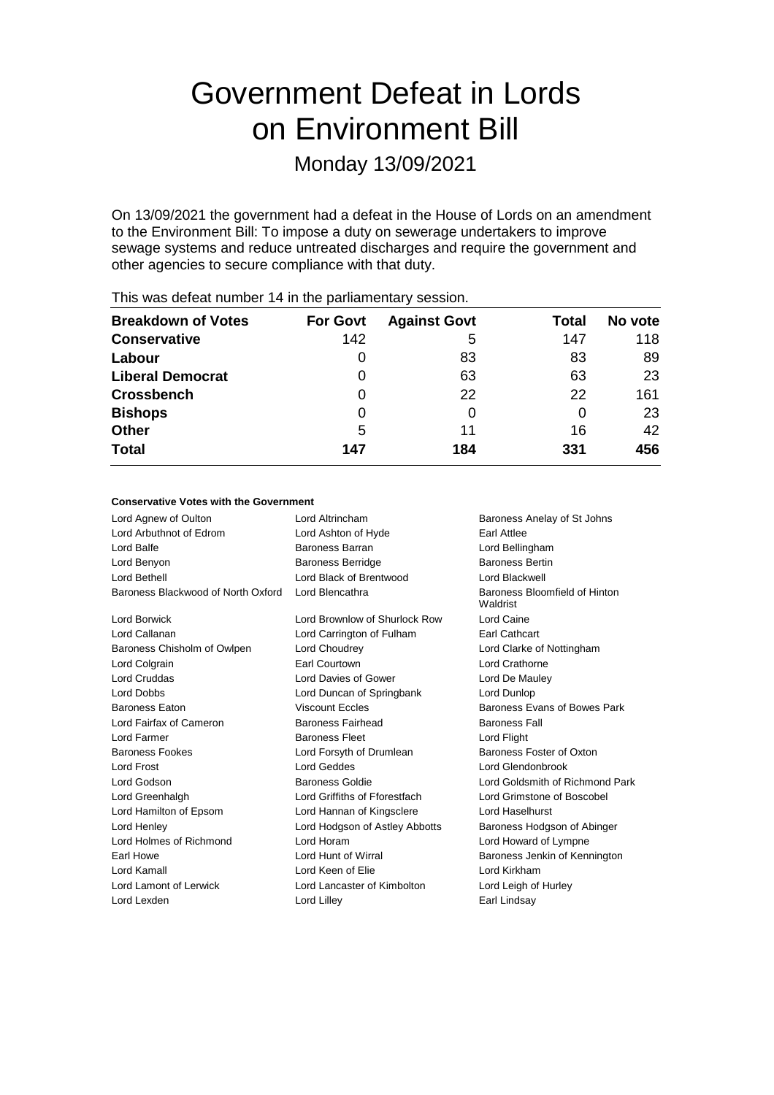# Government Defeat in Lords on Environment Bill

Monday 13/09/2021

On 13/09/2021 the government had a defeat in the House of Lords on an amendment to the Environment Bill: To impose a duty on sewerage undertakers to improve sewage systems and reduce untreated discharges and require the government and other agencies to secure compliance with that duty.

| <b>Breakdown of Votes</b> | <b>For Govt</b> | <b>Against Govt</b> | Total | No vote |
|---------------------------|-----------------|---------------------|-------|---------|
| <b>Conservative</b>       | 142             | 5                   | 147   | 118     |
| Labour                    |                 | 83                  | 83    | 89      |
| <b>Liberal Democrat</b>   |                 | 63                  | 63    | 23      |
| <b>Crossbench</b>         | 0               | 22                  | 22    | 161     |
| <b>Bishops</b>            |                 | 0                   | 0     | 23      |
| <b>Other</b>              | 5               | 11                  | 16    | 42      |
| <b>Total</b>              | 147             | 184                 | 331   | 456     |

This was defeat number 14 in the parliamentary session.

## **Conservative Votes with the Government**

| Lord Agnew of Oulton               | Lord Altrincham                | Baroness Anelay of St Johns               |
|------------------------------------|--------------------------------|-------------------------------------------|
| Lord Arbuthnot of Edrom            | Lord Ashton of Hyde            | <b>Farl Attlee</b>                        |
| Lord Balfe                         | Baroness Barran                | Lord Bellingham                           |
| Lord Benyon                        | <b>Baroness Berridge</b>       | <b>Baroness Bertin</b>                    |
| Lord Bethell                       | Lord Black of Brentwood        | Lord Blackwell                            |
| Baroness Blackwood of North Oxford | Lord Blencathra                | Baroness Bloomfield of Hinton<br>Waldrist |
| Lord Borwick                       | Lord Brownlow of Shurlock Row  | Lord Caine                                |
| Lord Callanan                      | Lord Carrington of Fulham      | Earl Cathcart                             |
| Baroness Chisholm of Owlpen        | Lord Choudrey                  | Lord Clarke of Nottingham                 |
| Lord Colgrain                      | Earl Courtown                  | Lord Crathorne                            |
| <b>Lord Cruddas</b>                | Lord Davies of Gower           | Lord De Mauley                            |
| <b>Lord Dobbs</b>                  | Lord Duncan of Springbank      | Lord Dunlop                               |
| <b>Baroness Faton</b>              | <b>Viscount Eccles</b>         | Baroness Evans of Bowes Park              |
| Lord Fairfax of Cameron            | <b>Baroness Fairhead</b>       | <b>Baroness Fall</b>                      |
| Lord Farmer                        | <b>Baroness Fleet</b>          | Lord Flight                               |
| <b>Baroness Fookes</b>             | Lord Forsyth of Drumlean       | Baroness Foster of Oxton                  |
| <b>Lord Frost</b>                  | <b>Lord Geddes</b>             | Lord Glendonbrook                         |
| Lord Godson                        | Baroness Goldie                | Lord Goldsmith of Richmond Park           |
| Lord Greenhalgh                    | Lord Griffiths of Fforestfach  | Lord Grimstone of Boscobel                |
| Lord Hamilton of Epsom             | Lord Hannan of Kingsclere      | Lord Haselhurst                           |
| Lord Henley                        | Lord Hodgson of Astley Abbotts | Baroness Hodgson of Abinger               |
| Lord Holmes of Richmond            | Lord Horam                     | Lord Howard of Lympne                     |
| Earl Howe                          | Lord Hunt of Wirral            | Baroness Jenkin of Kennington             |
| Lord Kamall                        | Lord Keen of Elie              | Lord Kirkham                              |
| Lord Lamont of Lerwick             | Lord Lancaster of Kimbolton    | Lord Leigh of Hurley                      |
| Lord Lexden                        | Lord Lilley                    | Earl Lindsay                              |
|                                    |                                |                                           |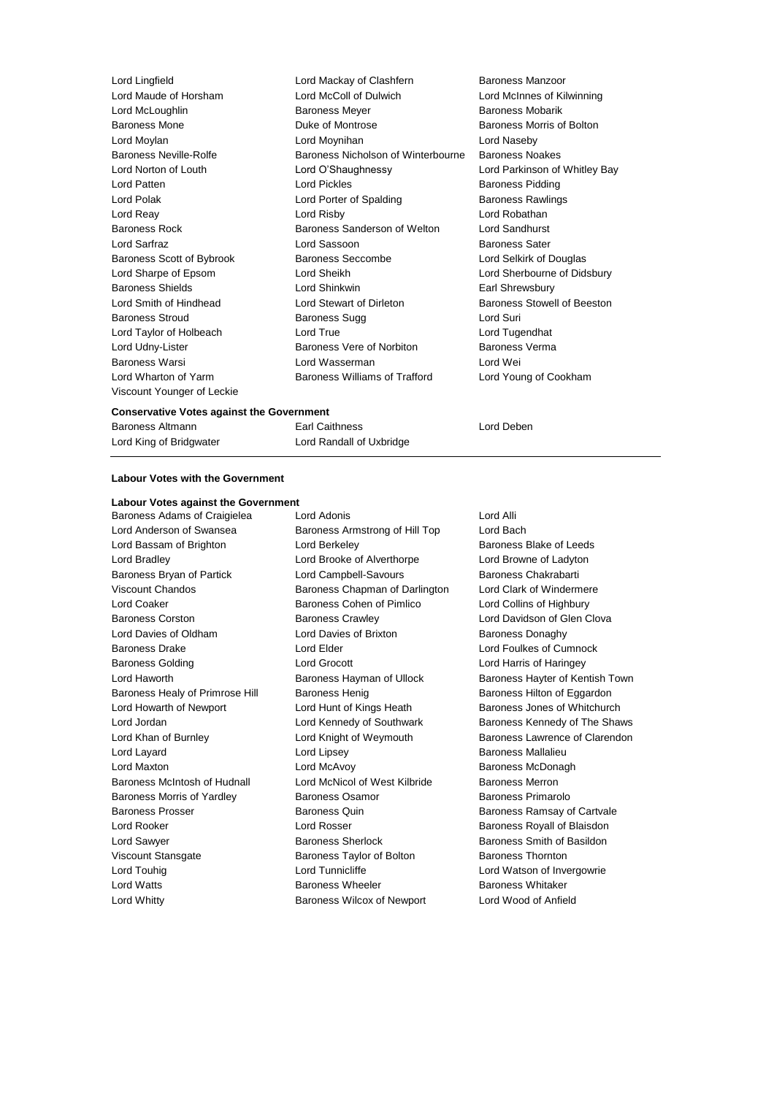Viscount Younger of Leckie

Lord Lingfield Lord Mackay of Clashfern Baroness Manzoor Lord Maude of Horsham Lord McColl of Dulwich Lord McInnes of Kilwinning **Lord McLoughlin Communist Communist Communist Communist Communist Communist Communist Communist Communist Communist Communist Communist Communist Communist Communist Communist Communist Communist Communist Communist Com** Baroness Mone **Baroness Mone Duke of Montrose Baroness Morris of Bolton** Lord Moylan Lord Moynihan Lord Naseby Baroness Neville-Rolfe **Baroness Nicholson of Winterbourne** Baroness Noakes Lord Norton of Louth Lord O'Shaughnessy Lord Parkinson of Whitley Bay Lord Patten **Lord Pickles Lord Pickles Baroness Pidding** Lord Polak **Lord Porter of Spalding Baroness Rawlings** Baroness Rawlings Lord Reay Lord Risby Lord Robathan Baroness Rock Baroness Sanderson of Welton Lord Sandhurst Lord Sarfraz **Lord Sassoon Lord Sassoon** Baroness Sater Baroness Scott of Bybrook Baroness Seccombe Lord Selkirk of Douglas Lord Sharpe of Epsom Lord Sheikh Lord Sherbourne of Didsbury Baroness Shields **Earl Shinkwin** Lord Shinkwin **Earl Shrewsbury** Lord Smith of Hindhead Lord Stewart of Dirleton Baroness Stowell of Beeston Baroness Stroud Baroness Sugg Lord Suri Lord Taylor of Holbeach Lord True Lord Tugendhat Lord Udny-Lister **Baroness Vere of Norbiton** Baroness Verma Baroness Warsi Lord Wasserman Lord Wei Lord Wharton of Yarm Baroness Williams of Trafford Lord Young of Cookham

#### **Conservative Votes against the Government**

| Baroness Altmann        | <b>Earl Caithness</b>    |
|-------------------------|--------------------------|
| Lord King of Bridgwater | Lord Randall of Uxbridge |

Earl Caithness **Alternative Earl Caithness** Lord Deben

### **Labour Votes with the Government**

# **Labour Votes against the Government**

Baroness Adams of Craigielea Lord Adonis **Lord Adonis** Lord Alli Lord Whitty Baroness Wilcox of Newport Lord Wood of Anfield

Lord Anderson of Swansea **Baroness Armstrong of Hill Top** Lord Bach Lord Bassam of Brighton **Lord Berkeley Baroness Blake of Leeds Baroness Blake of Leeds** Lord Bradley Lord Brooke of Alverthorpe Lord Browne of Ladyton Baroness Bryan of Partick **Lord Campbell-Savours** Baroness Chakrabarti Viscount Chandos **Baroness Chapman of Darlington** Lord Clark of Windermere Lord Coaker Baroness Cohen of Pimlico Lord Collins of Highbury Baroness Corston **Baroness Crawley Corporation** Lord Davidson of Glen Clova Lord Davies of Oldham **Lord Davies of Brixton** Baroness Donaghy Baroness Drake Lord Elder Lord Foulkes of Cumnock Baroness Golding Lord Grocott Lord Harris of Haringey Baroness Healy of Primrose Hill Baroness Henig Baroness Hensen Baroness Hilton of Eggardon Lord Howarth of Newport **Lord Hunt of Kings Heath** Baroness Jones of Whitchurch Lord Layard **Lord Lipsey** Lord Lipsey **Baroness Mallalieu** Lord Maxton **Lord McAvoy Baroness McDonagh Lord McAvoy Baroness McDonagh** Baroness McIntosh of Hudnall Lord McNicol of West Kilbride Baroness Merron Baroness Morris of Yardley **Baroness Osamor** Baroness Primarolo Baroness Prosser **Baroness Quin** Baroness Quin Baroness Ramsay of Cartvale Lord Rooker Lord Rosser Baroness Royall of Blaisdon Lord Sawyer **Baroness Sherlock** Baroness Sherlock Baroness Smith of Basildon Viscount Stansgate Baroness Taylor of Bolton Baroness Thornton Lord Touhig **Lord Tunnicliffe** Lord Tunnicliffe Lord Watson of Invergowrie Lord Watts Baroness Wheeler Baroness Whitaker

Lord Haworth Baroness Hayman of Ullock Baroness Hayter of Kentish Town Lord Jordan Lord Kennedy of Southwark Baroness Kennedy of The Shaws Lord Khan of Burnley **Lord Knight of Weymouth** Baroness Lawrence of Clarendon